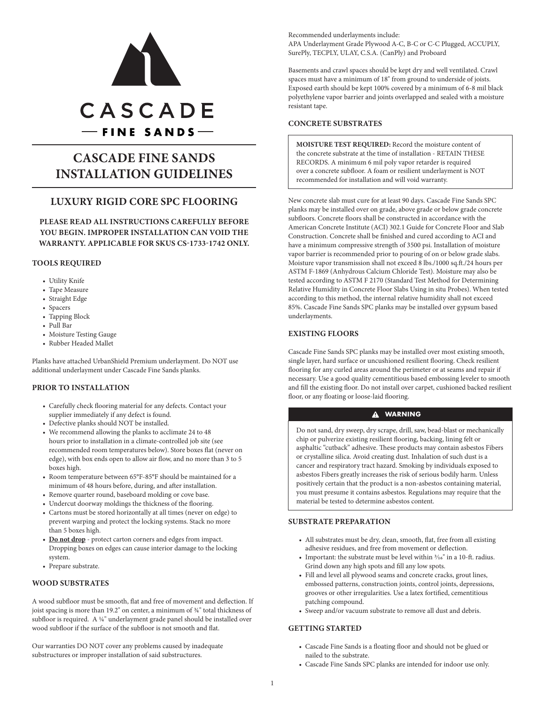

# **CASCADE FINE SANDS INSTALLATION GUIDELINES**

# **LUXURY RIGID CORE SPC FLOORING**

**PLEASE READ ALL INSTRUCTIONS CAREFULLY BEFORE YOU BEGIN. IMPROPER INSTALLATION CAN VOID THE WARRANTY. APPLICABLE FOR SKUS CS-1733-1742 ONLY.**

## **TOOLS REQUIRED**

- Utility Knife
- Tape Measure
- Straight Edge
- Spacers
- Tapping Block
- Pull Bar
- Moisture Testing Gauge
- Rubber Headed Mallet

Planks have attached UrbanShield Premium underlayment. Do NOT use additional underlayment under Cascade Fine Sands planks.

## **PRIOR TO INSTALLATION**

- Carefully check flooring material for any defects. Contact your supplier immediately if any defect is found.
- Defective planks should NOT be installed.
- We recommend allowing the planks to acclimate 24 to 48 hours prior to installation in a climate-controlled job site (see recommended room temperatures below). Store boxes flat (never on edge), with box ends open to allow air flow, and no more than 3 to 5 boxes high.
- Room temperature between 65°F-85°F should be maintained for a minimum of 48 hours before, during, and after installation.
- Remove quarter round, baseboard molding or cove base.
- Undercut doorway moldings the thickness of the flooring.
- Cartons must be stored horizontally at all times (never on edge) to prevent warping and protect the locking systems. Stack no more than 5 boxes high.
- **• Do not drop** protect carton corners and edges from impact. Dropping boxes on edges can cause interior damage to the locking system.
- Prepare substrate.

## **WOOD SUBSTRATES**

A wood subfloor must be smooth, flat and free of movement and deflection. If joist spacing is more than 19.2" on center, a minimum of  $\frac{3}{4}$ " total thickness of subfloor is required. A 1/4" underlayment grade panel should be installed over wood subfloor if the surface of the subfloor is not smooth and flat.

Our warranties DO NOT cover any problems caused by inadequate substructures or improper installation of said substructures.

Recommended underlayments include: APA Underlayment Grade Plywood A-C, B-C or C-C Plugged, ACCUPLY, SurePly, TECPLY, ULAY, C.S.A. (CanPly) and Proboard

Basements and crawl spaces should be kept dry and well ventilated. Crawl spaces must have a minimum of 18" from ground to underside of joists. Exposed earth should be kept 100% covered by a minimum of 6-8 mil black polyethylene vapor barrier and joints overlapped and sealed with a moisture resistant tape.

## **CONCRETE SUBSTRATES**

**MOISTURE TEST REQUIRED:** Record the moisture content of the concrete substrate at the time of installation - RETAIN THESE RECORDS. A minimum 6 mil poly vapor retarder is required over a concrete subfloor. A foam or resilient underlayment is NOT recommended for installation and will void warranty.

New concrete slab must cure for at least 90 days. Cascade Fine Sands SPC planks may be installed over on grade, above grade or below grade concrete subfloors. Concrete floors shall be constructed in accordance with the American Concrete Institute (ACI) 302.1 Guide for Concrete Floor and Slab Construction. Concrete shall be finished and cured according to ACI and have a minimum compressive strength of 3500 psi. Installation of moisture vapor barrier is recommended prior to pouring of on or below grade slabs. Moisture vapor transmission shall not exceed 8 lbs./1000 sq.ft./24 hours per ASTM F-1869 (Anhydrous Calcium Chloride Test). Moisture may also be tested according to ASTM F 2170 (Standard Test Method for Determining Relative Humidity in Concrete Floor Slabs Using in situ Probes). When tested according to this method, the internal relative humidity shall not exceed 85%. Cascade Fine Sands SPC planks may be installed over gypsum based underlayments.

## **EXISTING FLOORS**

Cascade Fine Sands SPC planks may be installed over most existing smooth, single layer, hard surface or uncushioned resilient flooring. Check resilient flooring for any curled areas around the perimeter or at seams and repair if necessary. Use a good quality cementitious based embossing leveler to smooth and fill the existing floor. Do not install over carpet, cushioned backed resilient floor, or any floating or loose-laid flooring.

## **A** WARNING

Do not sand, dry sweep, dry scrape, drill, saw, bead-blast or mechanically chip or pulverize existing resilient flooring, backing, lining felt or asphaltic "cutback" adhesive. These products may contain asbestos Fibers or crystalline silica. Avoid creating dust. Inhalation of such dust is a cancer and respiratory tract hazard. Smoking by individuals exposed to asbestos Fibers greatly increases the risk of serious bodily harm. Unless positively certain that the product is a non-asbestos containing material, you must presume it contains asbestos. Regulations may require that the material be tested to determine asbestos content.

#### **SUBSTRATE PREPARATION**

- All substrates must be dry, clean, smooth, flat, free from all existing adhesive residues, and free from movement or deflection.
- Important: the substrate must be level within  $\frac{3}{16}$ " in a 10-ft. radius. Grind down any high spots and fill any low spots.
- Fill and level all plywood seams and concrete cracks, grout lines, embossed patterns, construction joints, control joints, depressions, grooves or other irregularities. Use a latex fortified, cementitious patching compound.
- Sweep and/or vacuum substrate to remove all dust and debris.

## **GETTING STARTED**

- Cascade Fine Sands is a floating floor and should not be glued or nailed to the substrate.
- Cascade Fine Sands SPC planks are intended for indoor use only.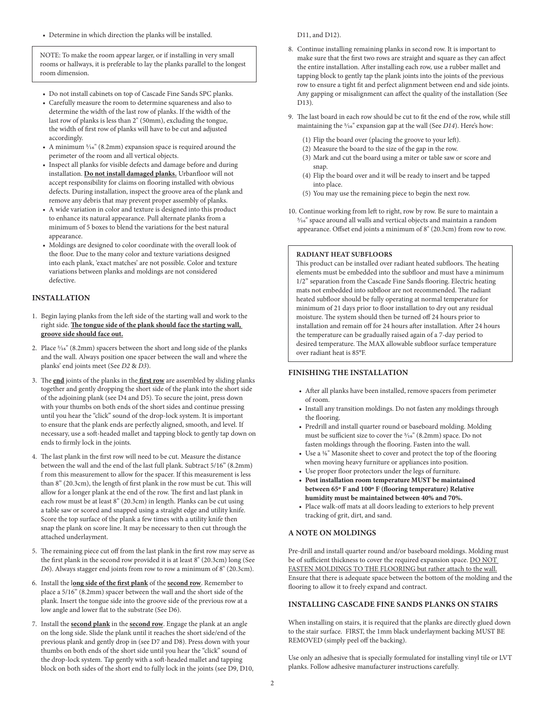• Determine in which direction the planks will be installed.

NOTE: To make the room appear larger, or if installing in very small rooms or hallways, it is preferable to lay the planks parallel to the longest room dimension.

- Do not install cabinets on top of Cascade Fine Sands SPC planks.
- Carefully measure the room to determine squareness and also to determine the width of the last row of planks. If the width of the last row of planks is less than 2" (50mm), excluding the tongue, the width of first row of planks will have to be cut and adjusted accordingly.
- A minimum 5/16" (8.2mm) expansion space is required around the perimeter of the room and all vertical objects.
- Inspect all planks for visible defects and damage before and during installation. **Do not install damaged planks.** Urbanfloor will not accept responsibility for claims on flooring installed with obvious defects. During installation, inspect the groove area of the plank and remove any debris that may prevent proper assembly of planks.
- A wide variation in color and texture is designed into this product to enhance its natural appearance. Pull alternate planks from a minimum of 5 boxes to blend the variations for the best natural appearance.
- Moldings are designed to color coordinate with the overall look of the floor. Due to the many color and texture variations designed into each plank, 'exact matches' are not possible. Color and texture variations between planks and moldings are not considered defective.

#### **INSTALLATION**

- 1. Begin laying planks from the left side of the starting wall and work to the right side. **The tongue side of the plank should face the starting wall, groove side should face out.**
- 2. Place 5/16" (8.2mm) spacers between the short and long side of the planks and the wall. Always position one spacer between the wall and where the planks' end joints meet (See *D2* & *D3*).
- 3. The **end** joints of the planks in the **first row** are assembled by sliding planks together and gently dropping the short side of the plank into the short side of the adjoining plank (see D4 and D5). To secure the joint, press down with your thumbs on both ends of the short sides and continue pressing until you hear the "click" sound of the drop-lock system. It is important to ensure that the plank ends are perfectly aligned, smooth, and level. If necessary, use a soft-headed mallet and tapping block to gently tap down on ends to firmly lock in the joints.
- 4. The last plank in the first row will need to be cut. Measure the distance between the wall and the end of the last full plank. Subtract 5/16" (8.2mm) f rom this measurement to allow for the spacer. If this measurement is less than 8" (20.3cm), the length of first plank in the row must be cut. This will allow for a longer plank at the end of the row. The first and last plank in each row must be at least 8" (20.3cm) in length. Planks can be cut using a table saw or scored and snapped using a straight edge and utility knife. Score the top surface of the plank a few times with a utility knife then snap the plank on score line. It may be necessary to then cut through the attached underlayment.
- 5. The remaining piece cut off from the last plank in the first row may serve as the first plank in the second row provided it is at least 8" (20.3cm) long (See *D6*). Always stagger end joints from row to row a minimum of 8" (20.3cm).
- 6. Install the l**ong side of the first plank** of the **second row**. Remember to place a 5/16" (8.2mm) spacer between the wall and the short side of the plank. Insert the tongue side into the groove side of the previous row at a low angle and lower flat to the substrate (See D6).
- 7. Install the **second plank** in the **second row**. Engage the plank at an angle on the long side. Slide the plank until it reaches the short side/end of the previous plank and gently drop in (see D7 and D8). Press down with your thumbs on both ends of the short side until you hear the "click" sound of the drop-lock system. Tap gently with a soft-headed mallet and tapping block on both sides of the short end to fully lock in the joints (see D9, D10,

D11, and D12).

- 8. Continue installing remaining planks in second row. It is important to make sure that the first two rows are straight and square as they can affect the entire installation. After installing each row, use a rubber mallet and tapping block to gently tap the plank joints into the joints of the previous row to ensure a tight fit and perfect alignment between end and side joints. Any gapping or misalignment can affect the quality of the installation (See D13).
- 9. The last board in each row should be cut to fit the end of the row, while still maintaining the 5/16" expansion gap at the wall (See *D14*). Here's how:
	- (1) Flip the board over (placing the groove to your left).
	- (2) Measure the board to the size of the gap in the row.
	- (3) Mark and cut the board using a miter or table saw or score and snap.
	- (4) Flip the board over and it will be ready to insert and be tapped into place.
	- (5) You may use the remaining piece to begin the next row.
- 10. Continue working from left to right, row by row. Be sure to maintain a 5/16" space around all walls and vertical objects and maintain a random appearance. Offset end joints a minimum of 8" (20.3cm) from row to row.

#### **RADIANT HEAT SUBFLOORS**

This product can be installed over radiant heated subfloors. The heating elements must be embedded into the subfloor and must have a minimum 1/2" separation from the Cascade Fine Sands flooring. Electric heating mats not embedded into subfloor are not recommended. The radiant heated subfloor should be fully operating at normal temperature for minimum of 21 days prior to floor installation to dry out any residual moisture. The system should then be turned off 24 hours prior to installation and remain off for 24 hours after installation. After 24 hours the temperature can be gradually raised again of a 7-day period to desired temperature. The MAX allowable subfloor surface temperature over radiant heat is 85°F.

#### **FINISHING THE INSTALLATION**

- After all planks have been installed, remove spacers from perimeter of room.
- Install any transition moldings. Do not fasten any moldings through the flooring.
- Predrill and install quarter round or baseboard molding. Molding must be sufficient size to cover the 5/16" (8.2mm) space. Do not fasten moldings through the flooring. Fasten into the wall.
- Use a 1/8" Masonite sheet to cover and protect the top of the flooring when moving heavy furniture or appliances into position.
- Use proper floor protectors under the legs of furniture.
- **• Post installation room temperature MUST be maintained between 65º F and 100º F (flooring temperature) Relative humidity must be maintained between 40% and 70%.**
- Place walk-off mats at all doors leading to exteriors to help prevent tracking of grit, dirt, and sand.

## **A NOTE ON MOLDINGS**

Pre-drill and install quarter round and/or baseboard moldings. Molding must be of sufficient thickness to cover the required expansion space. DO NOT FASTEN MOLDINGS TO THE FLOORING but rather attach to the wall. Ensure that there is adequate space between the bottom of the molding and the flooring to allow it to freely expand and contract.

## **INSTALLING CASCADE FINE SANDS PLANKS ON STAIRS**

When installing on stairs, it is required that the planks are directly glued down to the stair surface. FIRST, the 1mm black underlayment backing MUST BE REMOVED (simply peel off the backing).

Use only an adhesive that is specially formulated for installing vinyl tile or LVT planks. Follow adhesive manufacturer instructions carefully.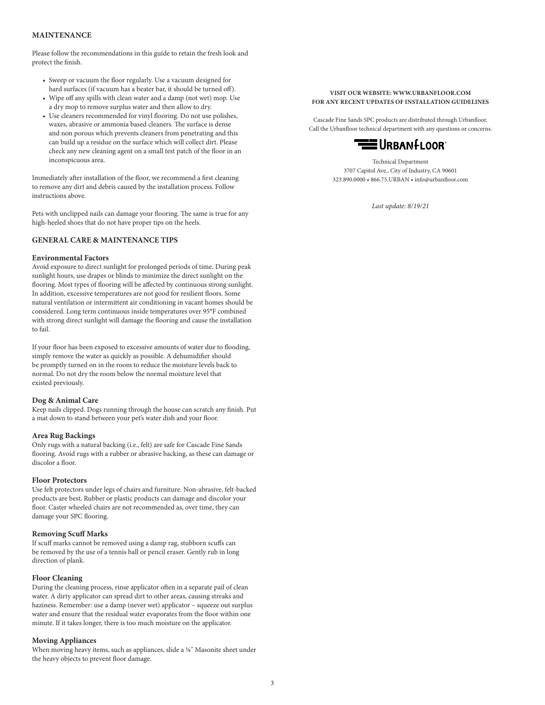## **MAINTENANCE**

Please follow the recommendations in this guide to retain the fresh look and protect the finish.

- Sweep or vacuum the floor regularly. Use a vacuum designed for hard surfaces (if vacuum has a beater bar, it should be turned off).
- Wipe off any spills with clean water and a damp (not wet) mop. Use a dry mop to remove surplus water and then allow to dry.
- Use cleaners recommended for vinyl flooring. Do not use polishes, waxes, abrasive or ammonia based cleaners. The surface is dense and non porous which prevents cleaners from penetrating and this can build up a residue on the surface which will collect dirt. Please check any new cleaning agent on a small test patch of the floor in an inconspicuous area.

Immediately after installation of the floor, we recommend a first cleaning to remove any dirt and debris caused by the installation process. Follow instructions above.

Pets with unclipped nails can damage your flooring. The same is true for any high-heeled shoes that do not have proper tips on the heels.

#### **GENERAL CARE & MAINTENANCE TIPS**

#### **Environmental Factors**

Avoid exposure to direct sunlight for prolonged periods of time. During peak sunlight hours, use drapes or blinds to minimize the direct sunlight on the flooring. Most types of flooring will be affected by continuous strong sunlight. In addition, excessive temperatures are not good for resilient floors. Some natural ventilation or intermittent air conditioning in vacant homes should be considered. Long term continuous inside temperatures over 95°F combined with strong direct sunlight will damage the flooring and cause the installation to fail.

If your floor has been exposed to excessive amounts of water due to flooding, simply remove the water as quickly as possible. A dehumidifier should be promptly turned on in the room to reduce the moisture levels back to normal. Do not dry the room below the normal moisture level that existed previously.

## **Dog & Animal Care**

Keep nails clipped. Dogs running through the house can scratch any finish. Put a mat down to stand between your pet's water dish and your floor.

#### **Area Rug Backings**

Only rugs with a natural backing (i.e., felt) are safe for Cascade Fine Sands flooring. Avoid rugs with a rubber or abrasive backing, as these can damage or discolor a floor.

#### **Floor Protectors**

Use felt protectors under legs of chairs and furniture. Non-abrasive, felt-backed products are best. Rubber or plastic products can damage and discolor your floor. Caster wheeled chairs are not recommended as, over time, they can damage your SPC flooring.

#### **Removing Scuff Marks**

If scuff marks cannot be removed using a damp rag, stubborn scuffs can be removed by the use of a tennis ball or pencil eraser. Gently rub in long direction of plank.

#### **Floor Cleaning**

During the cleaning process, rinse applicator often in a separate pail of clean water. A dirty applicator can spread dirt to other areas, causing streaks and haziness. Remember: use a damp (never wet) applicator – squeeze out surplus water and ensure that the residual water evaporates from the floor within one minute. If it takes longer, there is too much moisture on the applicator.

#### **Moving Appliances**

When moving heavy items, such as appliances, slide a 1/8" Masonite sheet under the heavy objects to prevent floor damage.

#### **VISIT OUR WEBSITE: WWW.URBANFLOOR.COM FOR ANY RECENT UPDATES OF INSTALLATION GUIDELINES**

Cascade Fine Sands SPC products are distributed through Urbanfloor. Call the Urbanfloor technical department with any questions or concerns.



Technical Department 3707 Capitol Ave., City of Industry, CA 90601 323.890.0000 • 866.75.URBAN • info@urbanfloor.com

*Last update: 8/19/21*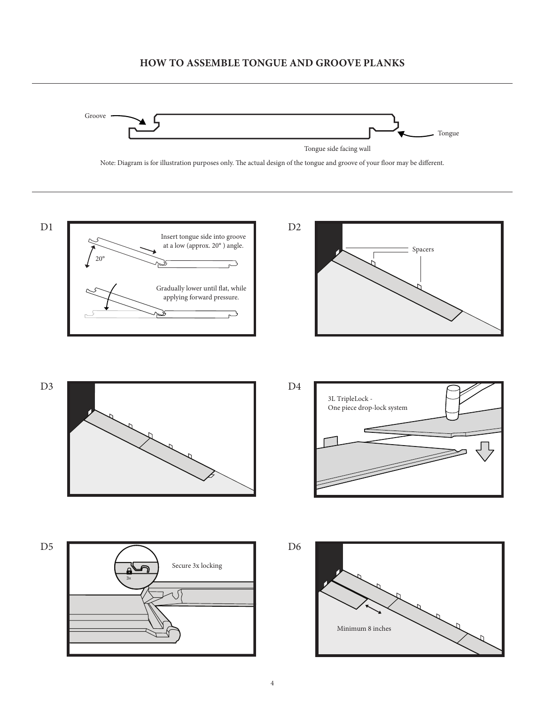# **HOW TO ASSEMBLE TONGUE AND GROOVE PLANKS**



Note: Diagram is for illustration purposes only. The actual design of the tongue and groove of your floor may be different.